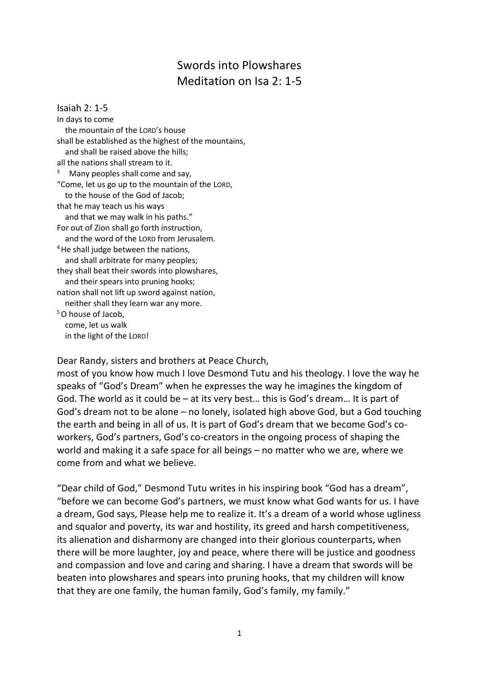## Swords into Plowshares Meditation on Isa 2: 1-5

Isaiah 2: 1-5 In days to come the mountain of the LORD's house shall be established as the highest of the mountains, and shall be raised above the hills; all the nations shall stream to it. <sup>3</sup> Many peoples shall come and say, "Come, let us go up to the mountain of the LORD, to the house of the God of Jacob; that he may teach us his ways and that we may walk in his paths." For out of Zion shall go forth instruction, and the word of the LORD from Jerusalem.  $4$  He shall judge between the nations, and shall arbitrate for many peoples; they shall beat their swords into plowshares, and their spears into pruning hooks; nation shall not lift up sword against nation, neither shall they learn war any more. <sup>5</sup>O house of Jacob, come, let us walk in the light of the LORD!

Dear Randy, sisters and brothers at Peace Church,

most of you know how much I love Desmond Tutu and his theology. I love the way he speaks of "God's Dream" when he expresses the way he imagines the kingdom of God. The world as it could be – at its very best… this is God's dream… It is part of God's dream not to be alone – no lonely, isolated high above God, but a God touching the earth and being in all of us. It is part of God's dream that we become God's coworkers, God's partners, God's co-creators in the ongoing process of shaping the world and making it a safe space for all beings – no matter who we are, where we come from and what we believe.

"Dear child of God," Desmond Tutu writes in his inspiring book "God has a dream", "before we can become God's partners, we must know what God wants for us. I have a dream, God says, Please help me to realize it. It's a dream of a world whose ugliness and squalor and poverty, its war and hostility, its greed and harsh competitiveness, its alienation and disharmony are changed into their glorious counterparts, when there will be more laughter, joy and peace, where there will be justice and goodness and compassion and love and caring and sharing. I have a dream that swords will be beaten into plowshares and spears into pruning hooks, that my children will know that they are one family, the human family, God's family, my family."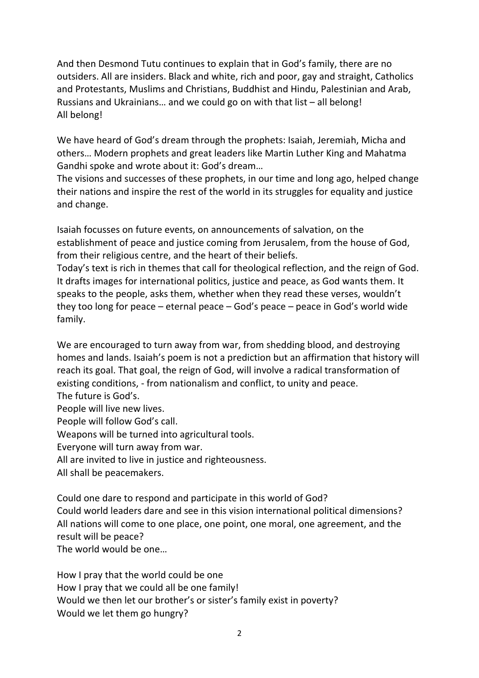And then Desmond Tutu continues to explain that in God's family, there are no outsiders. All are insiders. Black and white, rich and poor, gay and straight, Catholics and Protestants, Muslims and Christians, Buddhist and Hindu, Palestinian and Arab, Russians and Ukrainians… and we could go on with that list – all belong! All belong!

We have heard of God's dream through the prophets: Isaiah, Jeremiah, Micha and others… Modern prophets and great leaders like Martin Luther King and Mahatma Gandhi spoke and wrote about it: God's dream…

The visions and successes of these prophets, in our time and long ago, helped change their nations and inspire the rest of the world in its struggles for equality and justice and change.

Isaiah focusses on future events, on announcements of salvation, on the establishment of peace and justice coming from Jerusalem, from the house of God, from their religious centre, and the heart of their beliefs.

Today's text is rich in themes that call for theological reflection, and the reign of God. It drafts images for international politics, justice and peace, as God wants them. It speaks to the people, asks them, whether when they read these verses, wouldn't they too long for peace – eternal peace – God's peace – peace in God's world wide family.

We are encouraged to turn away from war, from shedding blood, and destroying homes and lands. Isaiah's poem is not a prediction but an affirmation that history will reach its goal. That goal, the reign of God, will involve a radical transformation of existing conditions, - from nationalism and conflict, to unity and peace. The future is God's.

People will live new lives.

People will follow God's call.

Weapons will be turned into agricultural tools.

Everyone will turn away from war.

All are invited to live in justice and righteousness.

All shall be peacemakers.

Could one dare to respond and participate in this world of God? Could world leaders dare and see in this vision international political dimensions? All nations will come to one place, one point, one moral, one agreement, and the result will be peace?

The world would be one…

How I pray that the world could be one How I pray that we could all be one family! Would we then let our brother's or sister's family exist in poverty? Would we let them go hungry?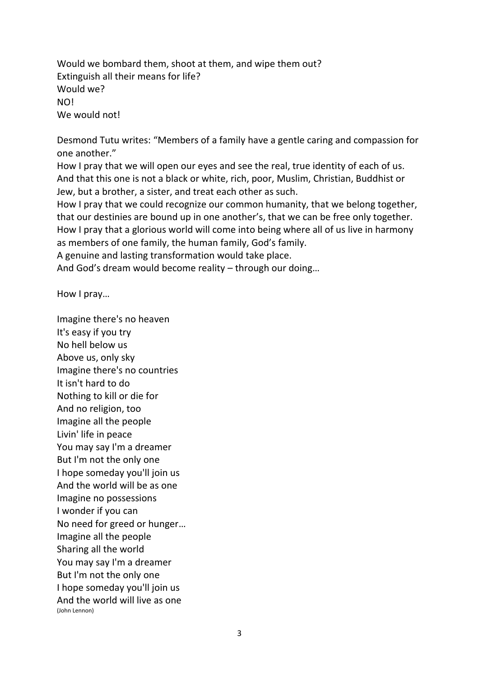Would we bombard them, shoot at them, and wipe them out? Extinguish all their means for life? Would we? NO! We would not!

Desmond Tutu writes: "Members of a family have a gentle caring and compassion for one another."

How I pray that we will open our eyes and see the real, true identity of each of us. And that this one is not a black or white, rich, poor, Muslim, Christian, Buddhist or Jew, but a brother, a sister, and treat each other as such.

How I pray that we could recognize our common humanity, that we belong together, that our destinies are bound up in one another's, that we can be free only together. How I pray that a glorious world will come into being where all of us live in harmony as members of one family, the human family, God's family.

A genuine and lasting transformation would take place.

And God's dream would become reality – through our doing…

How I pray…

Imagine there's no heaven It's easy if you try No hell below us Above us, only sky Imagine there's no countries It isn't hard to do Nothing to kill or die for And no religion, too Imagine all the people Livin' life in peace You may say I'm a dreamer But I'm not the only one I hope someday you'll join us And the world will be as one Imagine no possessions I wonder if you can No need for greed or hunger… Imagine all the people Sharing all the world You may say I'm a dreamer But I'm not the only one I hope someday you'll join us And the world will live as one (John Lennon)